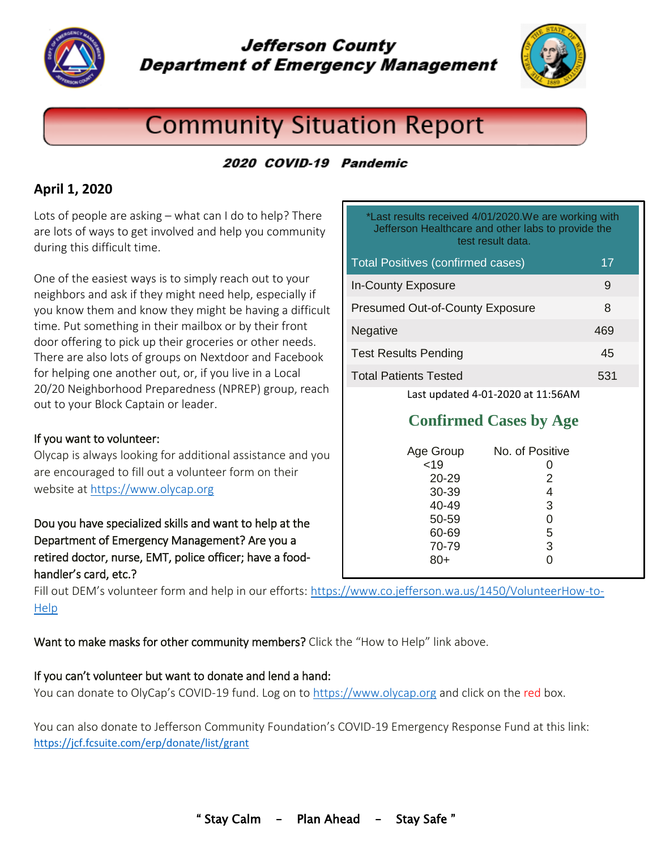

# **Jefferson County Department of Emergency Management**



# **Community Situation Report**

## 2020 COVID-19 Pandemic

## **April 1, 2020**

Lots of people are asking – what can I do to help? There are lots of ways to get involved and help you community during this difficult time.

One of the easiest ways is to simply reach out to your neighbors and ask if they might need help, especially if you know them and know they might be having a difficult time. Put something in their mailbox or by their front door offering to pick up their groceries or other needs. There are also lots of groups on Nextdoor and Facebook for helping one another out, or, if you live in a Local 20/20 Neighborhood Preparedness (NPREP) group, reach out to your Block Captain or leader.

#### If you want to volunteer:

Olycap is always looking for additional assistance and you are encouraged to fill out a volunteer form on their website at [https://www.olycap.org](https://www.olycap.org/)

Dou you have specialized skills and want to help at the Department of Emergency Management? Are you a retired doctor, nurse, EMT, police officer; have a foodhandler's card, etc.?

| *Last results received 4/01/2020. We are working with<br>Jefferson Healthcare and other labs to provide the<br>test result data. |     |  |
|----------------------------------------------------------------------------------------------------------------------------------|-----|--|
| <b>Total Positives (confirmed cases)</b>                                                                                         | 17  |  |
| <b>In-County Exposure</b>                                                                                                        | 9   |  |
| <b>Presumed Out-of-County Exposure</b>                                                                                           | 8   |  |
| <b>Negative</b>                                                                                                                  | 469 |  |
| <b>Test Results Pending</b>                                                                                                      | 45  |  |
| <b>Total Patients Tested</b>                                                                                                     | 531 |  |
| Last updated 4-01-2020 at 11:56AM                                                                                                |     |  |

# **Confirmed Cases by Age**

| Age Group<br>< 19<br>20-29<br>30-39<br>40-49<br>50-59<br>60-69<br>70-79<br>$80+$ | No. of Positive<br>2<br>3<br>5<br>3 |
|----------------------------------------------------------------------------------|-------------------------------------|
|                                                                                  |                                     |
|                                                                                  |                                     |

Fill out DEM's volunteer form and help in our efforts: [https://www.co.jefferson.wa.us/1450/VolunteerHow-to-](https://www.co.jefferson.wa.us/1450/VolunteerHow-to-Help)[Help](https://www.co.jefferson.wa.us/1450/VolunteerHow-to-Help)

Want to make masks for other community members? Click the "How to Help" link above.

#### If you can't volunteer but want to donate and lend a hand:

You can donate to OlyCap's COVID-19 fund. Log on t[o https://www.olycap.org](https://www.olycap.org/) and click on the red box.

You can also donate to Jefferson Community Foundation's COVID-19 Emergency Response Fund at this link: <https://jcf.fcsuite.com/erp/donate/list/grant>